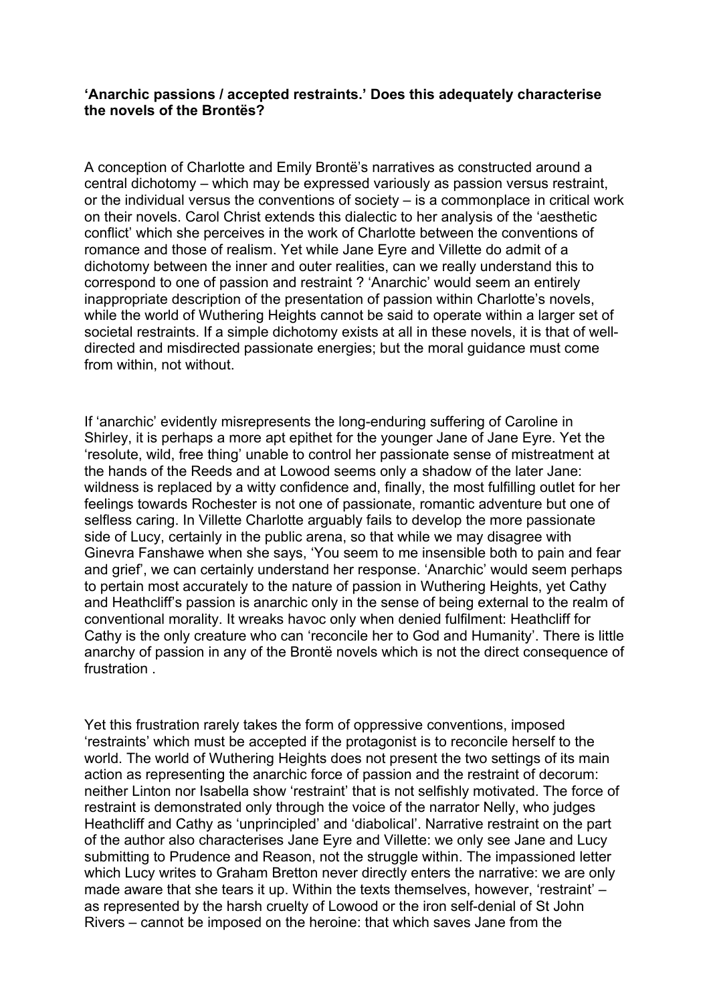## **'Anarchic passions / accepted restraints.' Does this adequately characterise the novels of the Brontës?**

A conception of Charlotte and Emily Brontë's narratives as constructed around a central dichotomy – which may be expressed variously as passion versus restraint, or the individual versus the conventions of society – is a commonplace in critical work on their novels. Carol Christ extends this dialectic to her analysis of the 'aesthetic conflict' which she perceives in the work of Charlotte between the conventions of romance and those of realism. Yet while Jane Eyre and Villette do admit of a dichotomy between the inner and outer realities, can we really understand this to correspond to one of passion and restraint ? 'Anarchic' would seem an entirely inappropriate description of the presentation of passion within Charlotte's novels, while the world of Wuthering Heights cannot be said to operate within a larger set of societal restraints. If a simple dichotomy exists at all in these novels, it is that of welldirected and misdirected passionate energies; but the moral guidance must come from within, not without.

If 'anarchic' evidently misrepresents the long-enduring suffering of Caroline in Shirley, it is perhaps a more apt epithet for the younger Jane of Jane Eyre. Yet the 'resolute, wild, free thing' unable to control her passionate sense of mistreatment at the hands of the Reeds and at Lowood seems only a shadow of the later Jane: wildness is replaced by a witty confidence and, finally, the most fulfilling outlet for her feelings towards Rochester is not one of passionate, romantic adventure but one of selfless caring. In Villette Charlotte arguably fails to develop the more passionate side of Lucy, certainly in the public arena, so that while we may disagree with Ginevra Fanshawe when she says, 'You seem to me insensible both to pain and fear and grief', we can certainly understand her response. 'Anarchic' would seem perhaps to pertain most accurately to the nature of passion in Wuthering Heights, yet Cathy and Heathcliff's passion is anarchic only in the sense of being external to the realm of conventional morality. It wreaks havoc only when denied fulfilment: Heathcliff for Cathy is the only creature who can 'reconcile her to God and Humanity'. There is little anarchy of passion in any of the Brontë novels which is not the direct consequence of frustration .

Yet this frustration rarely takes the form of oppressive conventions, imposed 'restraints' which must be accepted if the protagonist is to reconcile herself to the world. The world of Wuthering Heights does not present the two settings of its main action as representing the anarchic force of passion and the restraint of decorum: neither Linton nor Isabella show 'restraint' that is not selfishly motivated. The force of restraint is demonstrated only through the voice of the narrator Nelly, who judges Heathcliff and Cathy as 'unprincipled' and 'diabolical'. Narrative restraint on the part of the author also characterises Jane Eyre and Villette: we only see Jane and Lucy submitting to Prudence and Reason, not the struggle within. The impassioned letter which Lucy writes to Graham Bretton never directly enters the narrative: we are only made aware that she tears it up. Within the texts themselves, however, 'restraint' – as represented by the harsh cruelty of Lowood or the iron self-denial of St John Rivers – cannot be imposed on the heroine: that which saves Jane from the